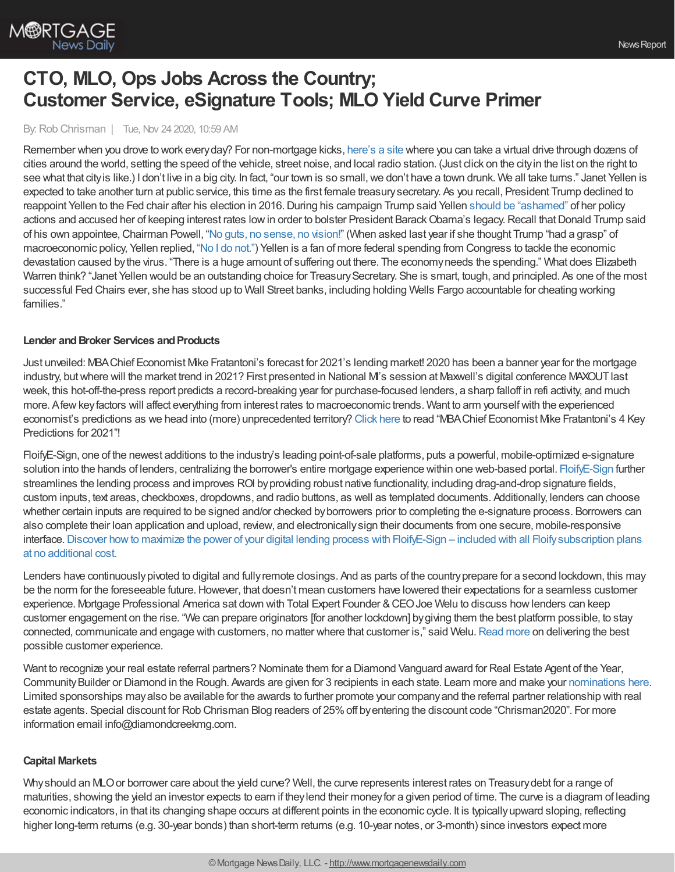

# **CTO, MLO, Ops Jobs Across the Country; Customer Service, eSignature Tools; MLO Yield Curve Primer**

By: Rob Chrisman | Tue, Nov 24 2020, 10:59 AM

Remember when you drove to work everyday? For non-mortgage kicks, [here's](https://driveandlisten.herokuapp.com/) a site where you can take a virtual drive through dozens of cities around the world, setting the speed of the vehicle, street noise, and local radio station. (Just click on the cityin the list on the right to see what that city is like.) I don't live in a big city. In fact, "our town is so small, we don't have a town drunk. We all take turns." Janet Yellen is expected to take another turn at public service, this time as the first female treasurysecretary. As you recall, President Trump declined to reappoint Yellen to the Fed chair after his election in 2016. During his campaign Trump said Yellen should be ["ashamed"](https://www.cnbc.com/2016/09/12/trump-says-fed-chief-yellen-should-be-ashamed.html) of her policy actions and accused her of keeping interest rates low in order to bolster President Barack Obama's legacy. Recall that Donald Trump said of his own appointee,Chairman Powell, "No guts, no [sense,](https://www.cnbc.com/2019/09/18/trump-says-powell-and-the-fed-fail-again-have-no-guts-no-sense-no-vision.html) no vision!" (When asked last year if she thought Trump "had a grasp" of macroeconomic policy, Yellen replied, "No I do [not."](https://www.politico.com/story/2019/02/25/yellen-trump-federal-reserve-1184326)) Yellen is a fan of more federal spending from Congress to tackle the economic devastation caused bythe virus. "There is a huge amount of suffering out there. The economyneeds the spending." What does Elizabeth Warren think? "Janet Yellen would be an outstanding choice for Treasury Secretary. She is smart, tough, and principled. As one of the most successful Fed Chairs ever, she has stood up to Wall Street banks, including holding Wells Fargo accountable for cheating working families."

## **Lender and Broker Services and Products**

Just unveiled: MBAChief Economist Mike Fratantoni's forecast for 2021's lending market! 2020 has been a banner year for the mortgage industry, but where will the market trend in 2021? First presented in National M's session at Maxwell's digital conference MAXOUT last week, this hot-off-the-press report predicts a record-breaking year for purchase-focused lenders, a sharp falloff in refi activity, and much more. Afew key factors will affect everything from interest rates to macroeconomic trends. Want to arm yourself with the experienced economist's predictions as we head into (more) unprecedented territory? [Click](https://himaxwell.com/blog/mba-chief-economist-mike-fratantonis-4-key-predictions-for-2021/?utm_source=RC&utm_medium=RC_Content) here to read "MBAChief Economist Mike Fratantoni's 4 Key Predictions for 2021"!

FloifyE-Sign, one of the newest additions to the industry's leading point-of-sale platforms, puts a powerful, mobile-optimized e-signature solution into the hands of lenders, centralizing the borrower's entire mortgage experience within one web-based portal. [FloifyE-Sign](https://floify.com/demo-chrisman) further streamlines the lending process and improves ROI byproviding robust native functionality, including drag-and-drop signature fields, custom inputs, text areas, checkboxes, dropdowns, and radio buttons, as well as templated documents. Additionally, lenders can choose whether certain inputs are required to be signed and/or checked byborrowers prior to completing the e-signature process. Borrowers can also complete their loan application and upload, review, and electronicallysign their documents from one secure, mobile-responsive interface. Discover how to maximize the power of your digital lending process with FloifyE-Sign – included with all Floify subscription plans at no additional cost.

Lenders have continuouslypivoted to digital and fullyremote closings. And as parts of the countryprepare for a second lockdown, this may be the norm for the foreseeable future. However, that doesn't mean customers have lowered their expectations for a seamless customer experience. Mortgage Professional America sat down with Total Expert Founder &CEOJoe Welu to discuss howlenders can keep customer engagement on the rise. "We can prepare originators [for another lockdown] bygiving them the best platform possible, to stay connected, communicate and engage with customers, no matter where that customer is," said Welu.[Read](https://totalexpert.com/mpa-how-to-keep-customers-engaged/?utm_campaign=editorial&utm_source=chrisman&utm_medium=referral) more on delivering the best possible customer experience.

Want to recognize your real estate referral partners? Nominate them for a Diamond Vanguard award for Real Estate Agent of the Year, CommunityBuilder or Diamond in the Rough. Awards are given for 3 recipients in each state. Learn more and make your [nominations](https://www.diamondvanguardawards.com/real-estate) here. Limited sponsorships mayalso be available for the awards to further promote your companyand the referral partner relationship with real estate agents. Special discount for Rob Chrisman Blog readers of 25%off byentering the discount code "Chrisman2020". For more information email info@diamondcreekmg.com.

## **Capital Markets**

Whyshould an MLOor borrower care about the yield curve? Well, the curve represents interest rates on Treasurydebt for a range of maturities, showing the yield an investor expects to earn if theylend their moneyfor a given period of time. The curve is a diagram of leading economic indicators, in that its changing shape occurs at different points in the economic cycle. It is typicallyupward sloping, reflecting higher long-term returns (e.g. 30-year bonds) than short-term returns (e.g. 10-year notes, or 3-month) since investors expect more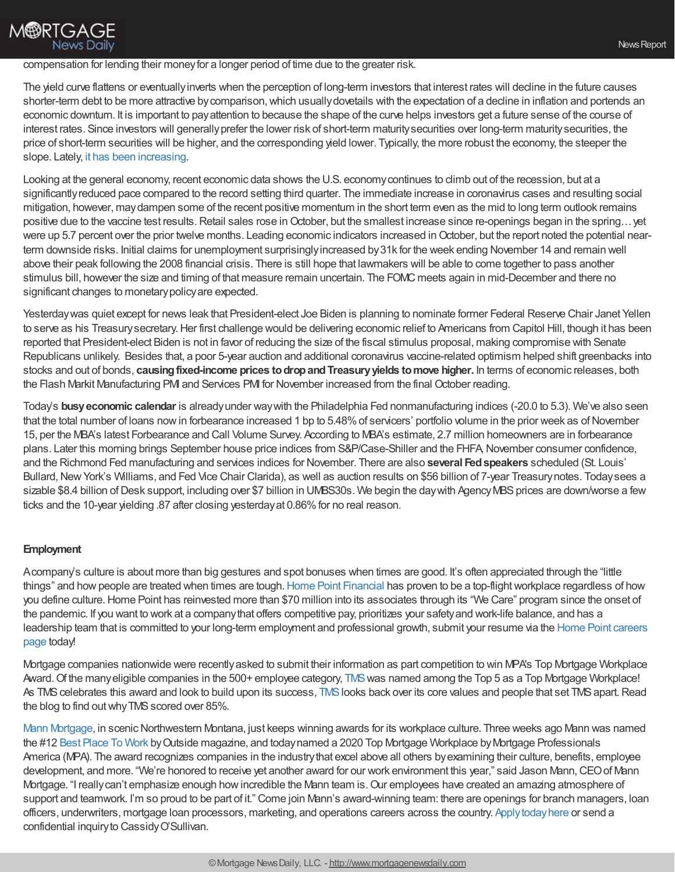## compensation for lending their moneyfor a longer period of time due to the greater risk.

The yield curve flattens or eventuallyinverts when the perception of long-term investors that interest rates will decline in the future causes shorter-term debt to be more attractive bycomparison,which usuallydovetails with the expectation of a decline in inflation and portends an economic downturn. It is important to payattention to because the shape of the curve helps investors get a future sense of the course of interest rates. Since investors will generallyprefer the lower risk of short-term maturitysecurities over long-term maturitysecurities, the price of short-term securities will be higher, and the corresponding yield lower. Typically, the more robust the economy, the steeper the slope. Lately, it has been [increasing.](https://fred.stlouisfed.org/graph/?id=T10Y3MM,)

Looking at the general economy, recent economic data shows the U.S. economycontinues to climb out of the recession, but at a significantlyreduced pace compared to the record setting third quarter. The immediate increase in coronavirus cases and resulting social mitigation, however, maydampen some of the recent positive momentum in the short term even as the mid to long term outlook remains positive due to the vaccine test results. Retail sales rose in October, but the smallest increase since re-openings began in the spring... yet were up 5.7 percent over the prior twelve months. Leading economic indicators increased in October, but the report noted the potential nearterm downside risks. Initial claims for unemployment surprisinglyincreased by31k for the week ending November 14 and remain well above their peak following the 2008 financial crisis. There is still hope that lawmakers will be able to come together to pass another stimulus bill, however the size and timing of that measure remain uncertain. The FOMC meets again in mid-December and there no significant changes to monetarypolicyare expected.

Yesterdaywas quiet except for news leak that President-elect Joe Biden is planning to nominate former Federal Reserve Chair Janet Yellen to serve as his Treasury secretary. Her first challenge would be delivering economic relief to Americans from Capitol Hill, though it has been reported that President-elect Biden is not in favor of reducing the size of the fiscal stimulus proposal, making compromise with Senate Republicans unlikely. Besides that, a poor 5-year auction and additional coronavirus vaccine-related optimism helped shift greenbacks into stocks and out of bonds, **causingfixed-income prices todropandTreasuryyields tomove higher.** In terms of economic releases, both the Flash Markit Manufacturing PMI and Services PMI for November increased from the final October reading.

Today's **busyeconomic calendar** is alreadyunder waywith the Philadelphia Fed nonmanufacturing indices (-20.0 to 5.3). We've also seen that the total number of loans now in forbearance increased 1 bp to 5.48% of servicers' portfolio volume in the prior week as of November 15, per the MBA's latest Forbearance and Call Volume Survey. According to MBA's estimate, 2.7 million homeowners are in forbearance plans. Later this morning brings September house price indices from S&P/Case-Shiller and the FHFA, November consumer confidence, and the Richmond Fed manufacturing and services indices for November. There are also **several Fedspeakers** scheduled (St. Louis' Bullard, New York's Williams, and Fed Vice Chair Clarida), as well as auction results on \$56 billion of 7-year Treasury notes. Today sees a sizable \$8.4 billion of Desk support, including over \$7 billion in UMBS30s. We begin the day with Agency MBS prices are down/worse a few ticks and the 10-year yielding .87 after closing yesterday at 0.86% for no real reason.

## **Employment**

**M®RTGAGE** 

**News Daily** 

Acompany's culture is about more than big gestures and spot bonuses when times are good. It's often appreciated through the "little things" and how people are treated when times are tough. Home Point [Financial](https://www.homepointfinancial.com/) has proven to be a top-flight workplace regardless of how you define culture. Home Point has reinvested more than \$70 million into its associates through its "We Care" program since the onset of the pandemic. If you want to work at a companythat offers competitive pay, prioritizes your safetyand work-life balance, and has a leadership team that is committed to your long-term employment and [professional](https://www.homepointfinancial.com/careers) growth, submit your resume via the Home Point careers page today!

Mortgage companies nationwide were recentlyasked to submit their information as part competition to win MPA's Top Mortgage Workplace Award. Of the many eligible companies in the 500+ employee category, [TMS](http://themoneysource.com/) was named among the Top 5 as a Top Mortgage Workplace! As [TMS](http://themoneysource.com/) celebrates this award and look to build upon its success, TMS looks back over its core values and people that set TMS apart. Read the blog to find out why TMS scored over 85%.

Mann [Mortgage](https://issuu.com/cassidy.osullivan/docs/06.20_mannmortgage_pitch_deck_branchmanager_fin), in scenic Northwestern Montana, just keeps winning awards for its workplace culture. Three weeks ago Mann was named the #12 Best [Place](https://www.outsideonline.com/2418305/best-places-work-2020) To Work byOutside magazine, and todaynamed a 2020 Top Mortgage Workplace byMortgage Professionals America (MPA). The award recognizes companies in the industrythat excel above all others byexamining their culture, benefits, employee development, and more. "We're honored to receive yet another award for our work environment this year," said Jason Mann, CEO of Mann Mortgage. "I really can't emphasize enough how incredible the Mann team is. Our employees have created an amazing atmosphere of support and teamwork. I'm so proud to be part of it." Come join Mann's award-winning team: there are openings for branch managers, loan officers, underwriters, mortgage loan processors, marketing, and operations careers across the country. [Applytodayhere](http://www.mannmortgage.com/careers/) or send a confidential inquiry to Cassidy O'Sullivan.